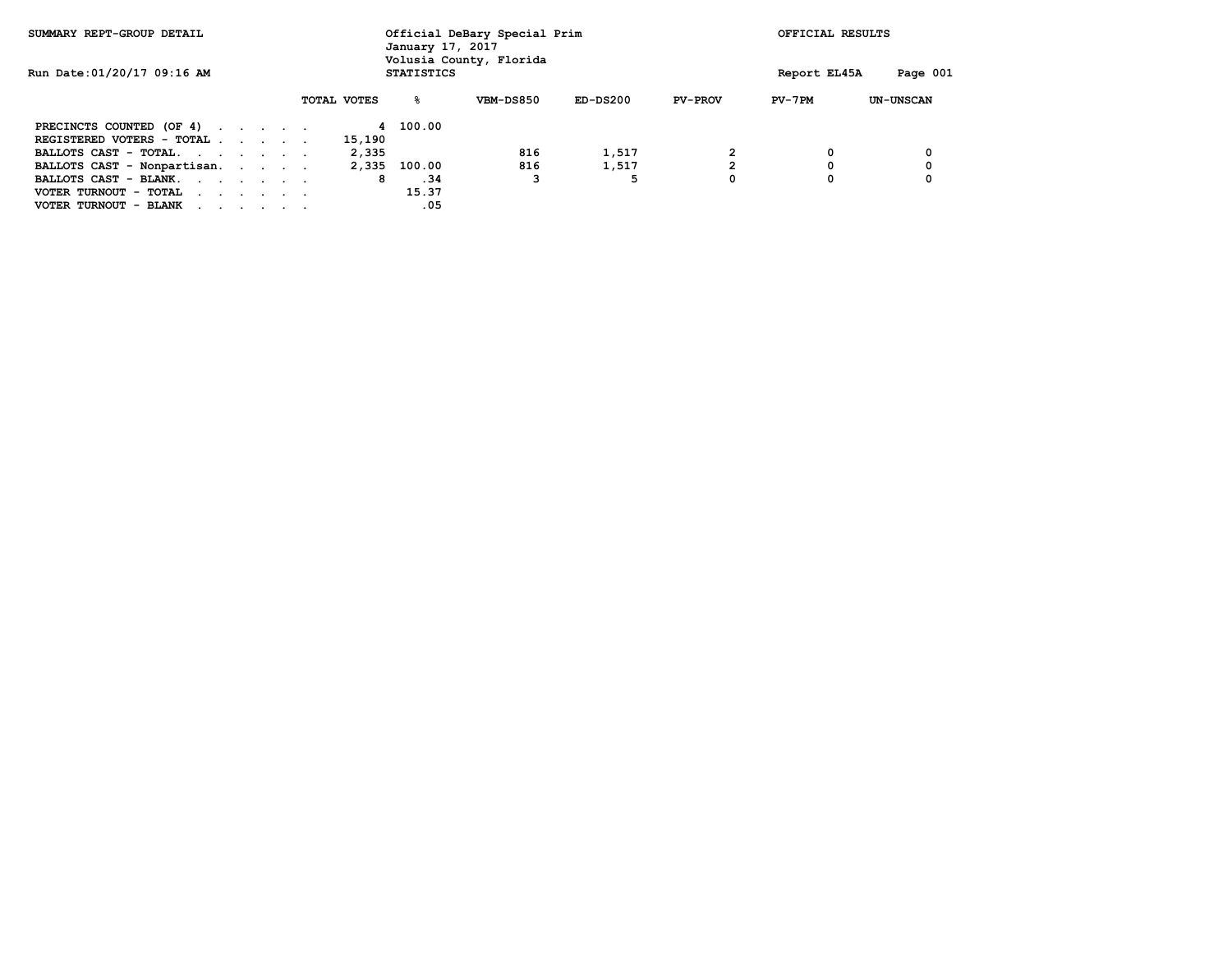| SUMMARY REPT-GROUP DETAIL                        |  |  |  |  |             | January 17, 2017 | Official DeBary Special Prim<br>Volusia County, Florida |            |                | OFFICIAL RESULTS |                  |
|--------------------------------------------------|--|--|--|--|-------------|------------------|---------------------------------------------------------|------------|----------------|------------------|------------------|
| Run Date: 01/20/17 09:16 AM<br><b>STATISTICS</b> |  |  |  |  |             |                  |                                                         |            | Report EL45A   | Page 001         |                  |
|                                                  |  |  |  |  | TOTAL VOTES | ዱ                | VBM-DS850                                               | $ED-DS200$ | <b>PV-PROV</b> | $PV-7PM$         | <b>UN-UNSCAN</b> |
| PRECINCTS COUNTED (OF 4)                         |  |  |  |  |             | 4 100.00         |                                                         |            |                |                  |                  |
| REGISTERED VOTERS - TOTAL                        |  |  |  |  | 15,190      |                  |                                                         |            |                |                  |                  |
| BALLOTS CAST - TOTAL.                            |  |  |  |  | 2,335       |                  | 816                                                     | 1,517      |                | 0                | 0                |
| BALLOTS CAST - Nonpartisan.                      |  |  |  |  | 2,335       | 100.00           | 816                                                     | 1,517      | $\mathbf{2}$   | 0                | 0                |
| BALLOTS CAST - BLANK.                            |  |  |  |  | 8           | .34              |                                                         | 5          | 0              | 0                | 0                |
| VOTER TURNOUT - TOTAL                            |  |  |  |  |             | 15.37            |                                                         |            |                |                  |                  |
| VOTER TURNOUT - BLANK                            |  |  |  |  |             | .05              |                                                         |            |                |                  |                  |